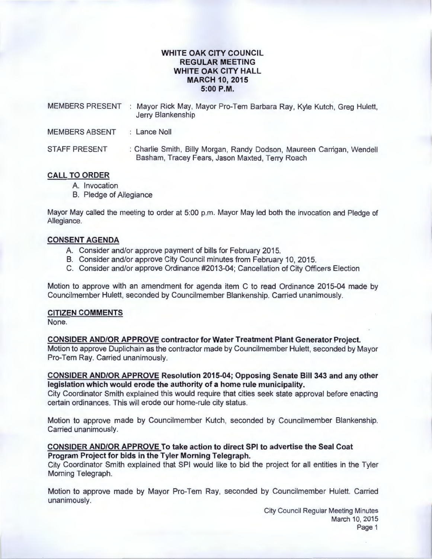# **WHITE OAK CITY COUNCIL REGULAR MEETING WHITE OAK CITY HALL MARCH 10, 2015 5:00P.M.**

| <b>MEMBERS PRESENT</b> | Mayor Rick May, Mayor Pro-Tem Barbara Ray, Kyle Kutch, Greg Hulett,<br>Jerry Blankenship                                  |
|------------------------|---------------------------------------------------------------------------------------------------------------------------|
| <b>MEMBERS ABSENT</b>  | $\therefore$ Lance Noll                                                                                                   |
| <b>STAFF PRESENT</b>   | : Charlie Smith, Billy Morgan, Randy Dodson, Maureen Carrigan, Wendell<br>Basham, Tracey Fears, Jason Maxted, Terry Roach |

## **CALL TO ORDER**

- A. Invocation
- B. Pledge of Allegiance

Mayor May called the meeting to order at 5:00 p.m. Mayor May led both the invocation and Pledge of Allegiance.

## **CONSENT AGENDA**

- A. Consider and/or approve payment of bills for February 2015.
- B. Consider and/or approve City Council minutes from February 10, 2015.
- C. Consider and/or approve Ordinance #2013-04; Cancellation of City Officers Election

Motion to approve with an amendment for agenda item C to read Ordinance 2015-04 made by Councilmember Hulett, seconded by Councilmember Blankenship. Carried unanimously.

#### **CITIZEN COMMENTS**

None.

### **CONSIDER AND/OR APPROVE contractor for Water Treatment Plant Generator Project.**

Motion to approve Duplichain as the contractor made by Councilmember Hulett, seconded by Mayor Pro-Tem Ray. Carried unanimously.

### **CONSIDER AND/OR APPROVE Resolution 2015-04; Opposing Senate Bill 343 and any other legislation which would erode the authority of a home rule municipality.**

City Coordinator Smith explained this would require that cities seek state approval before enacting certain ordinances. This will erode our home-rule city status.

Motion to approve made by Councilmember Kutch , seconded by Councilmember Blankenship. Carried unanimously.

### **CONSIDER AND/OR APPROVE To take action to direct SPI to advertise the Seal Coat Program Project for bids in the Tyler Morning Telegraph.**

City Coordinator Smith explained that SPI would like to bid the project for all entities in the Tyler Morning Telegraph.

Motion to approve made by Mayor Pro-Tem Ray, seconded by Councilmember Hulett. Carried unanimously.

> City Council Regular Meeting Minutes March 10, 2015 Page 1